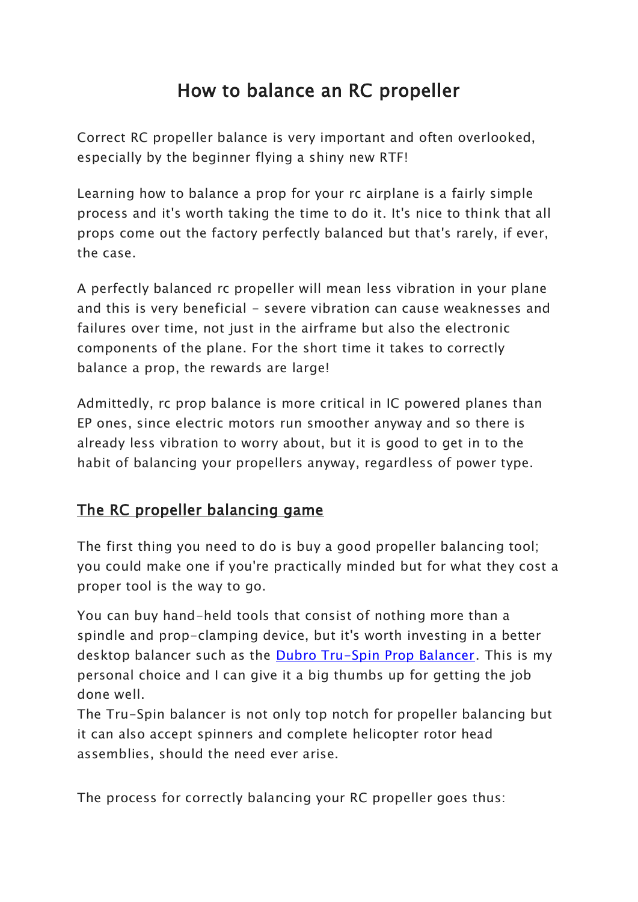# How to balance an RC propeller

Correct RC propeller balance is very important and often overlooked, especially by the beginner flying a shiny new RTF!

Learning how to balance a prop for your rc airplane is a fairly simple process and it's worth taking the time to do it. It's nice to think that all props come out the factory perfectly balanced but that's rarely, if ever, the case.

A perfectly balanced rc propeller will mean less vibration in your plane and this is very beneficial - severe vibration can cause weaknesses and failures over time, not just in the airframe but also the electronic components of the plane. For the short time it takes to correctly balance a prop, the rewards are large!

Admittedly, rc prop balance is more critical in IC powered planes than EP ones, since electric motors run smoother anyway and so there is already less vibration to worry about, but it is good to get in to the habit of balancing your propellers anyway, regardless of power type.

## The RC propeller balancing game

The first thing you need to do is buy a good propeller balancing tool; you could make one if you're practically minded but for what they cost a proper tool is the way to go.

You can buy hand-held tools that consist of nothing more than a spindle and prop-clamping device, but it's worth investing in a better desktop balancer such as the [Dubro Tru-Spin Prop Balancer.](https://www.amazon.com/gp/search?ie=UTF8&tag=rcairplanewor-20&linkCode=ur2&linkId=c5a8ffc27e0e327f194cb1964e7a131e&camp=1789&creative=9325&index=toys-and-games&keywords=Dubro%20propeller%20balancer) This is my personal choice and I can give it a big thumbs up for getting the job done well.

The Tru-Spin balancer is not only top notch for propeller balancing but it can also accept spinners and complete helicopter rotor head assemblies, should the need ever arise.

The process for correctly balancing your RC propeller goes thus: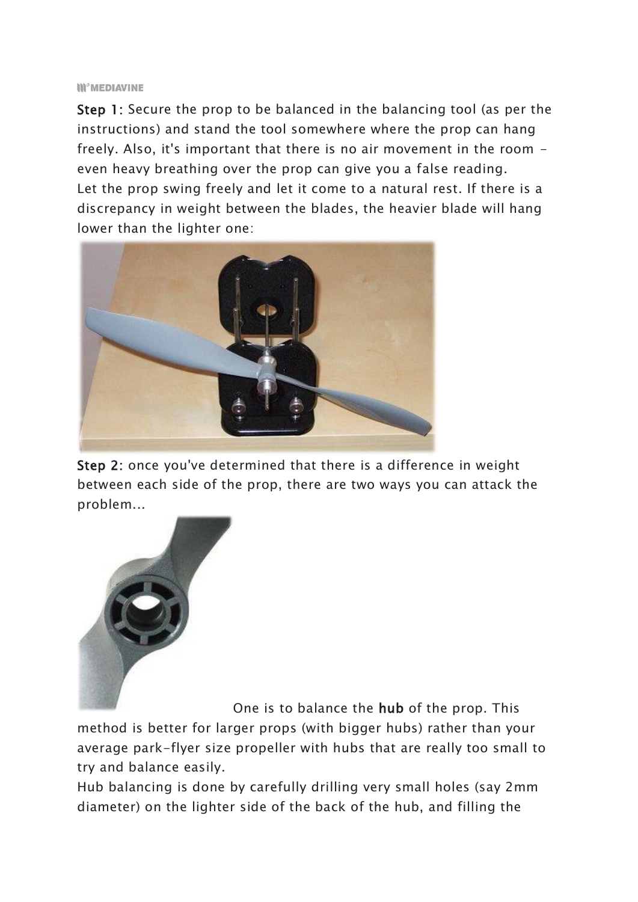#### **III<sup>c</sup>MEDIAVINE**

Step 1: Secure the prop to be balanced in the balancing tool (as per the instructions) and stand the tool somewhere where the prop can hang freely. Also, it's important that there is no air movement in the room even heavy breathing over the prop can give you a false reading. Let the prop swing freely and let it come to a natural rest. If there is a discrepancy in weight between the blades, the heavier blade will hang lower than the lighter one:



Step 2: once you've determined that there is a difference in weight between each side of the prop, there are two ways you can attack the problem...



One is to balance the hub of the prop. This

method is better for larger props (with bigger hubs) rather than your average park-flyer size propeller with hubs that are really too small to try and balance easily.

Hub balancing is done by carefully drilling very small holes (say 2mm diameter) on the lighter side of the back of the hub, and filling the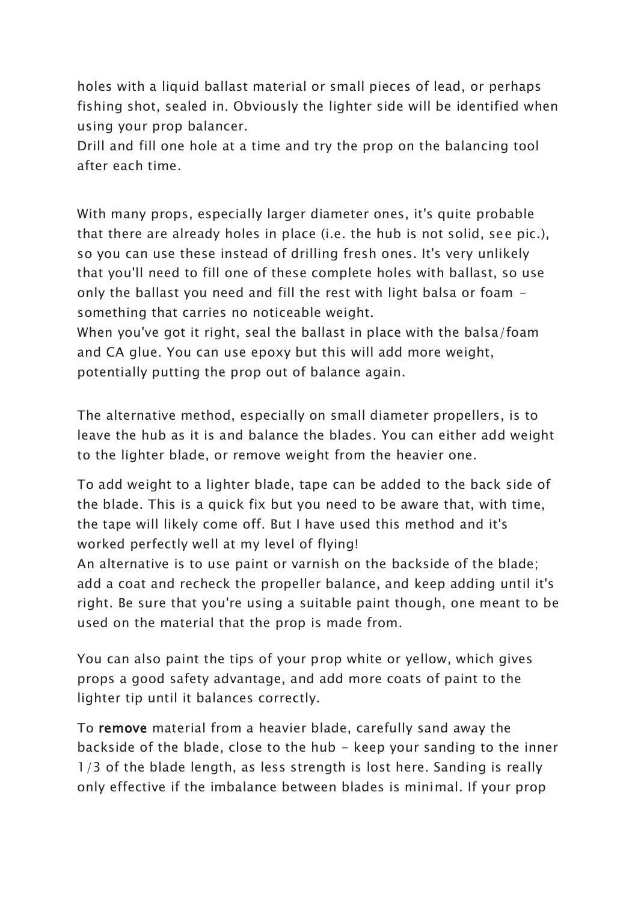holes with a liquid ballast material or small pieces of lead, or perhaps fishing shot, sealed in. Obviously the lighter side will be identified when using your prop balancer.

Drill and fill one hole at a time and try the prop on the balancing tool after each time.

With many props, especially larger diameter ones, it's quite probable that there are already holes in place (i.e. the hub is not solid, see pic.), so you can use these instead of drilling fresh ones. It's very unlikely that you'll need to fill one of these complete holes with ballast, so use only the ballast you need and fill the rest with light balsa or foam something that carries no noticeable weight.

When you've got it right, seal the ballast in place with the balsa/foam and CA glue. You can use epoxy but this will add more weight, potentially putting the prop out of balance again.

The alternative method, especially on small diameter propellers, is to leave the hub as it is and balance the blades. You can either add weight to the lighter blade, or remove weight from the heavier one.

To add weight to a lighter blade, tape can be added to the back side of the blade. This is a quick fix but you need to be aware that, with time, the tape will likely come off. But I have used this method and it's worked perfectly well at my level of flying!

An alternative is to use paint or varnish on the backside of the blade; add a coat and recheck the propeller balance, and keep adding until it's right. Be sure that you're using a suitable paint though, one meant to be used on the material that the prop is made from.

You can also paint the tips of your prop white or yellow, which gives props a good safety advantage, and add more coats of paint to the lighter tip until it balances correctly.

To remove material from a heavier blade, carefully sand away the backside of the blade, close to the hub - keep your sanding to the inner 1/3 of the blade length, as less strength is lost here. Sanding is really only effective if the imbalance between blades is minimal. If your prop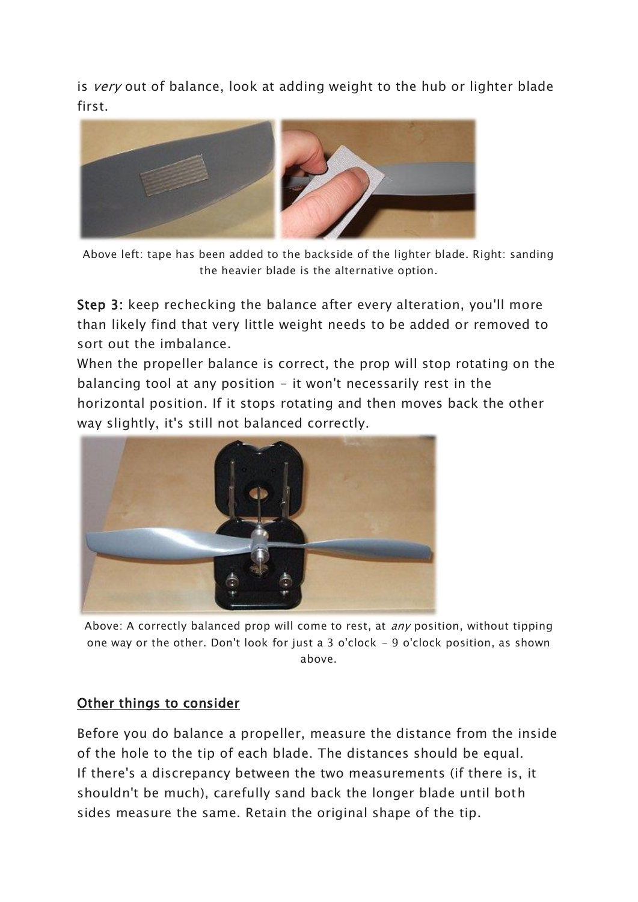is very out of balance, look at adding weight to the hub or lighter blade first.



Above left: tape has been added to the backside of the lighter blade. Right: sanding the heavier blade is the alternative option.

Step 3: keep rechecking the balance after every alteration, you'll more than likely find that very little weight needs to be added or removed to sort out the imbalance.

When the propeller balance is correct, the prop will stop rotating on the balancing tool at any position  $-$  it won't necessarily rest in the horizontal position. If it stops rotating and then moves back the other way slightly, it's still not balanced correctly.



Above: A correctly balanced prop will come to rest, at *any* position, without tipping one way or the other. Don't look for just a 3 o'clock - 9 o'clock position, as shown above.

### Other things to consider

Before you do balance a propeller, measure the distance from the inside of the hole to the tip of each blade. The distances should be equal. If there's a discrepancy between the two measurements (if there is, it shouldn't be much), carefully sand back the longer blade until both sides measure the same. Retain the original shape of the tip.